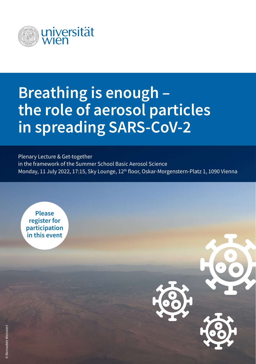

## **Breathing is enough – the role of aerosol particles in spreading SARS-CoV-2**

Plenary Lecture & Get-together in the framework of the Summer School Basic Aerosol Science Monday, 11 July 2022, 17:15, Sky Lounge, 12<sup>th</sup> floor, Oskar-Morgenstern-Platz 1, 1090 Vienna

**Please register for participation in this event**